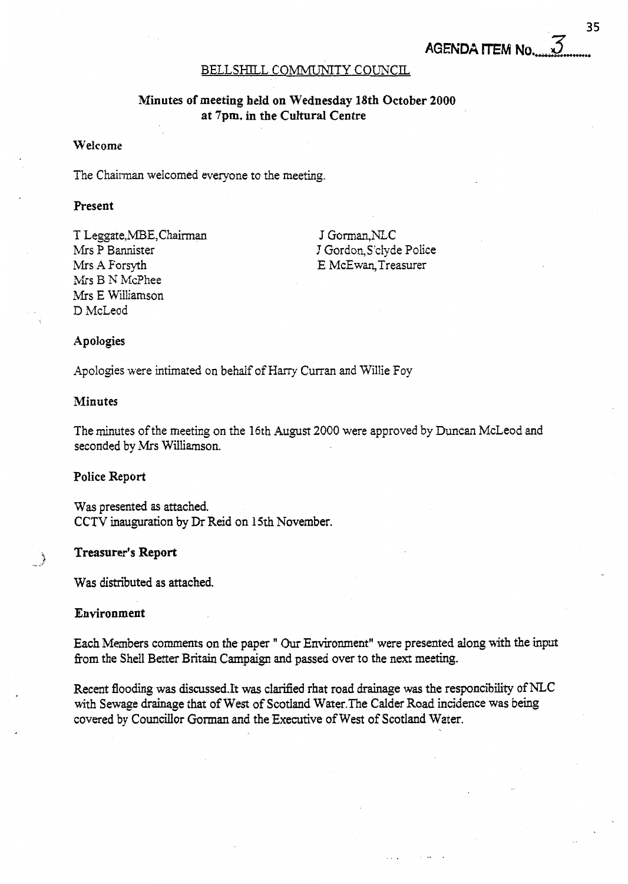### BELLSHILL COMMUNITY COUNCIL

# **Minutes of meeting held on Wednesday 18th October 2000 at 7pm. in the Cultural Centre**

### **Welcome**

The Chairman welcomed everyone to the meeting.

# **Present**

T Leggate,MBE,Chaiman Mrs P Bannister Mrs **A** Forsyth Mrs B N McPhee Mrs E Williamson D McLeod

J Gorman,NLC J Gordon. S'clyde Police E McEwan,Treasurer

#### **Apologies**

Apologies were intimated on behalf of Harry Curran and Willie Foy

### **Minutes**

The minutes of the meeting on the 16th August 2000 were approved by Duncan McLeod and seconded by Mrs Williamson.

#### **Police** Report

Was presented as attached. CCTV inauguration by Dr Reid on 15th November.

#### **Treasurer's Report**

Was distributed as attached.

### **Environment**

f -.\*

Each Members comments on the paper " Our Environment" were presented **along** with the **input**  from the Shell Better Britain Campaign and passed over to the next meeting.

Recent flooding was discussed.It was clarified rhat road drainage was the responcibility of NLC with Sewage drainage that of **West** of Scotland Water.The Calder Road incidence was being covered by Councillor Goman and the Executive of West of Scotland Water.

35

**AGENDA ITEM No.**